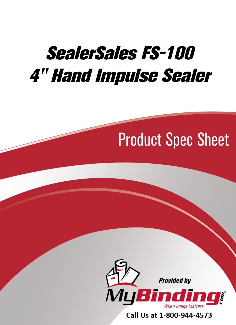# SealerSales FS-100 [4" Hand Impulse Sealer](https://www.mybinding.com/sealersales-fs-100-4-hand-impulse-sealer.html)

## Product Spec Sheet



Call Us at 1-800-944-4573